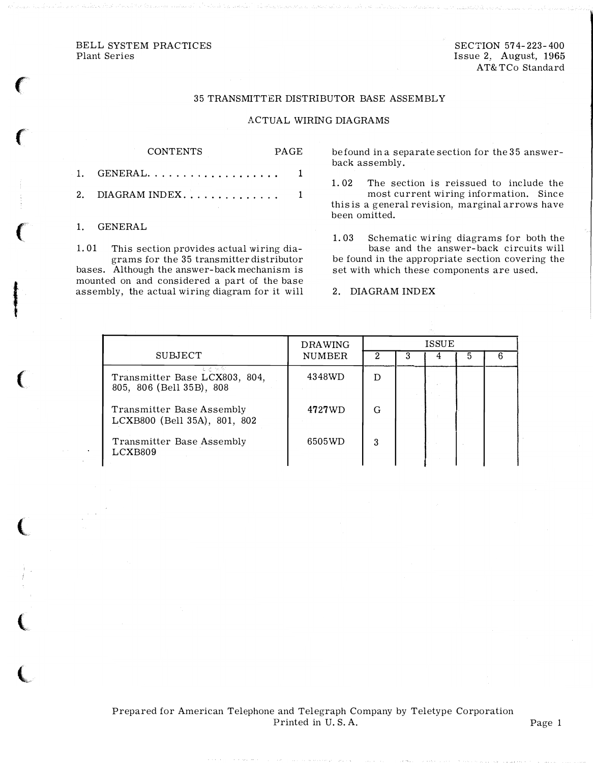## BELL SYSTEM PRACTICES Plant Series

SECTION 574-223-400 Issue 2, August, 1965 AT& TCo Standard

## 35 TRANSMITTER DISTRIBUTOR BASE ASSEMBLY

## ACTUAL WIRING DIAGRAMS

PAGE

| <b>CONTENTS</b>      | PAGE |
|----------------------|------|
| $1.$ GENERAL         |      |
| 2. DIAGRAM INDEX $1$ |      |
| 1. GENERAL           |      |

1. 01 This section provides actual wiring dia-

grams for the 35 transmitter distributor bases. Although the answer-back mechanism is mounted on and considered a part of the base assembly, the actual wiring diagram for it will be found in a separate section for the 35 answerback assembly.

1. 02 The section is reissued to include the most current wiring information. Since this is a general revision, marginal arrows have been omitted.

1. 03 Schematic wiring diagrams for both the base and the answer-back circuits will be found in the appropriate section covering the set with which these components are used.

2. DIAGRAM INDEX

|                                                                   | <b>DRAWING</b> | <b>ISSUE</b> |   |  |  |  |
|-------------------------------------------------------------------|----------------|--------------|---|--|--|--|
| <b>SUBJECT</b>                                                    | <b>NUMBER</b>  |              | з |  |  |  |
| しといを<br>Transmitter Base LCX803, 804,<br>805, 806 (Bell 35B), 808 | 4348WD         |              |   |  |  |  |
| Transmitter Base Assembly<br>LCXB800 (Bell 35A), 801, 802         | 4727WD         | G            |   |  |  |  |
| Transmitter Base Assembly<br>LCXB809                              | 6505WD         | 3            |   |  |  |  |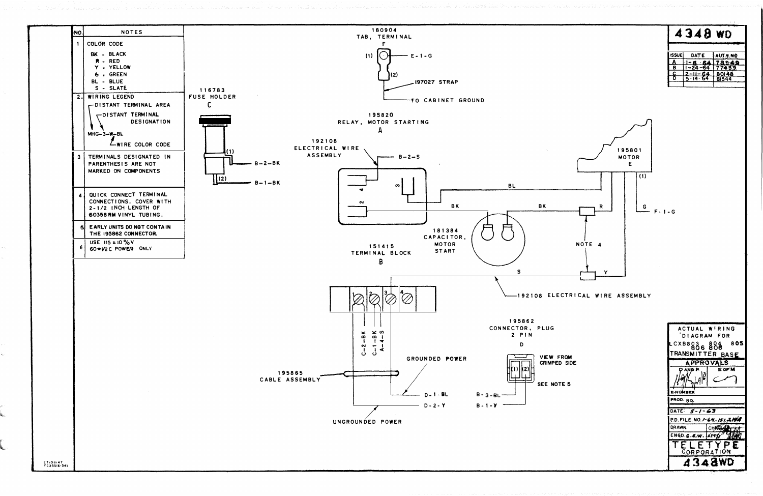

|              | 4348 WD |  |
|--------------|---------|--|
| <b>ISSUE</b> | DATE    |  |
|              |         |  |

 $1 - 24 - 64$  77439

 $\begin{array}{|c|c|c|c|}\n\hline\n2 & -11 & -64 & 80148 \\
\hline\n5 & -14 & -64 & 81544\n\end{array}$ 

ACTUAL WIRING DIAGRAM FOR CXB803 804 805 TRANSMITTER BASE APPROVALS **DANDR** E OF M **PRUMBER** PROD. NO. DATE: 5-1-63 P.D. FILE NO. 1-64-157,2194 CHROA DRAWN. ENGD C. C.W. APPD TELETYPE **4348WD**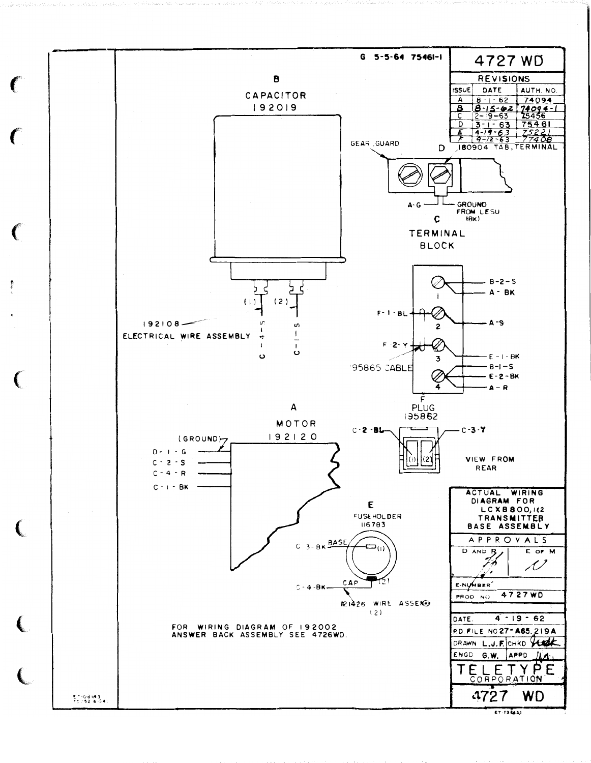